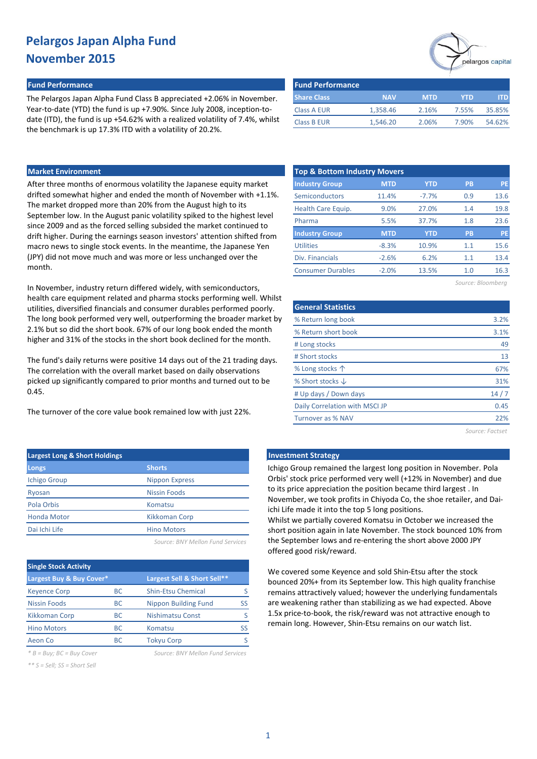#### **Fund Performance Fund Performance**

The Pelargos Japan Alpha Fund Class B appreciated +2.06% in November. Year-to-date (YTD) the fund is up +7.90%. Since July 2008, inception-todate (ITD), the fund is up +54.62% with a realized volatility of 7.4%, whilst the benchmark is up 17.3% ITD with a volatility of 20.2%.

| <b>Fund Performance</b> |            |            |            |        |
|-------------------------|------------|------------|------------|--------|
| <b>Share Class</b>      | <b>NAV</b> | <b>MTD</b> | <b>YTD</b> | m      |
| <b>Class A EUR</b>      | 1,358.46   | 2.16%      | 7.55%      | 35.85% |
| <b>Class B EUR</b>      | 1.546.20   | 2.06%      | 7.90%      | 54.62% |

### **Market Environment**

After three months of enormous volatility the Japanese equity market drifted somewhat higher and ended the month of November with +1.1%. The market dropped more than 20% from the August high to its September low. In the August panic volatility spiked to the highest level since 2009 and as the forced selling subsided the market continued to drift higher. During the earnings season investors' attention shifted from macro news to single stock events. In the meantime, the Japanese Yen (JPY) did not move much and was more or less unchanged over the month.

In November, industry return differed widely, with semiconductors, health care equipment related and pharma stocks performing well. Whilst utilities, diversified financials and consumer durables performed poorly. The long book performed very well, outperforming the broader market by 2.1% but so did the short book. 67% of our long book ended the month higher and 31% of the stocks in the short book declined for the month.

The fund's daily returns were positive 14 days out of the 21 trading days. The correlation with the overall market based on daily observations picked up significantly compared to prior months and turned out to be 0.45.

The turnover of the core value book remained low with just 22%.

| <b>Largest Long &amp; Short Holdings</b> |                       |
|------------------------------------------|-----------------------|
| <b>Longs</b>                             | <b>Shorts</b>         |
| <b>Ichigo Group</b>                      | <b>Nippon Express</b> |
| Ryosan                                   | Nissin Foods          |
| Pola Orbis                               | Komatsu               |
| <b>Honda Motor</b>                       | Kikkoman Corp         |
| Dai Ichi Life                            | <b>Hino Motors</b>    |
|                                          |                       |

*Source: BNY Mellon Fund Services*

| <b>Single Stock Activity</b> |           |                             |    |  |  |  |  |  |  |
|------------------------------|-----------|-----------------------------|----|--|--|--|--|--|--|
| Largest Buy & Buy Cover*     |           | Largest Sell & Short Sell** |    |  |  |  |  |  |  |
| <b>Keyence Corp</b>          | <b>BC</b> | <b>Shin-Etsu Chemical</b>   |    |  |  |  |  |  |  |
| <b>Nissin Foods</b>          | <b>BC</b> | Nippon Building Fund        | ß  |  |  |  |  |  |  |
| <b>Kikkoman Corp</b>         | <b>BC</b> | <b>Nishimatsu Const</b>     |    |  |  |  |  |  |  |
| <b>Hino Motors</b>           | <b>BC</b> | Komatsu                     | SS |  |  |  |  |  |  |
| Aeon Co                      | BC.       | <b>Tokyu Corp</b>           |    |  |  |  |  |  |  |

*\* B = Buy; BC = Buy Cover Source: BNY Mellon Fund Services*

*\*\* S = Sell; SS = Short Sell*

| <b>Top &amp; Bottom Industry Movers</b> |            |            |                   |           |  |  |  |  |  |  |
|-----------------------------------------|------------|------------|-------------------|-----------|--|--|--|--|--|--|
| <b>Industry Group</b>                   | <b>MTD</b> | <b>YTD</b> | <b>PB</b>         | <b>PE</b> |  |  |  |  |  |  |
| Semiconductors                          | 11.4%      | $-7.7%$    | 0.9               | 13.6      |  |  |  |  |  |  |
| Health Care Equip.                      | 9.0%       | 27.0%      | 1.4               | 19.8      |  |  |  |  |  |  |
| Pharma                                  | 5.5%       | 37.7%      | 1.8               | 23.6      |  |  |  |  |  |  |
| <b>Industry Group</b>                   | <b>MTD</b> | <b>YTD</b> | PB                | <b>PE</b> |  |  |  |  |  |  |
| <b>Utilities</b>                        | $-8.3%$    | 10.9%      | 1.1               | 15.6      |  |  |  |  |  |  |
| Div. Financials                         | $-2.6%$    | 6.2%       | 1.1               | 13.4      |  |  |  |  |  |  |
| <b>Consumer Durables</b>                | $-2.0%$    | 13.5%      | 1.0               | 16.3      |  |  |  |  |  |  |
|                                         |            |            | Source: Bloomberg |           |  |  |  |  |  |  |

| <b>General Statistics</b>      |      |
|--------------------------------|------|
| % Return long book             | 3.2% |
| % Return short book            | 3.1% |
| # Long stocks                  | 49   |
| # Short stocks                 | 13   |
| % Long stocks 个                | 67%  |
| % Short stocks $\downarrow$    | 31%  |
| # Up days / Down days          | 14/7 |
| Daily Correlation with MSCI JP | 0.45 |
| Turnover as % NAV              | 22%  |
|                                |      |

*Source: Factset*

elargos capital

### **Late Investment Strategy**

Ichigo Group remained the largest long position in November. Pola Orbis' stock price performed very well (+12% in November) and due to its price appreciation the position became third largest . In November, we took profits in Chiyoda Co, the shoe retailer, and Daiichi Life made it into the top 5 long positions.

Whilst we partially covered Komatsu in October we increased the short position again in late November. The stock bounced 10% from the September lows and re-entering the short above 2000 JPY offered good risk/reward.

We covered some Keyence and sold Shin-Etsu after the stock bounced 20%+ from its September low. This high quality franchise remains attractively valued; however the underlying fundamentals are weakening rather than stabilizing as we had expected. Above 1.5x price-to-book, the risk/reward was not attractive enough to remain long. However, Shin-Etsu remains on our watch list.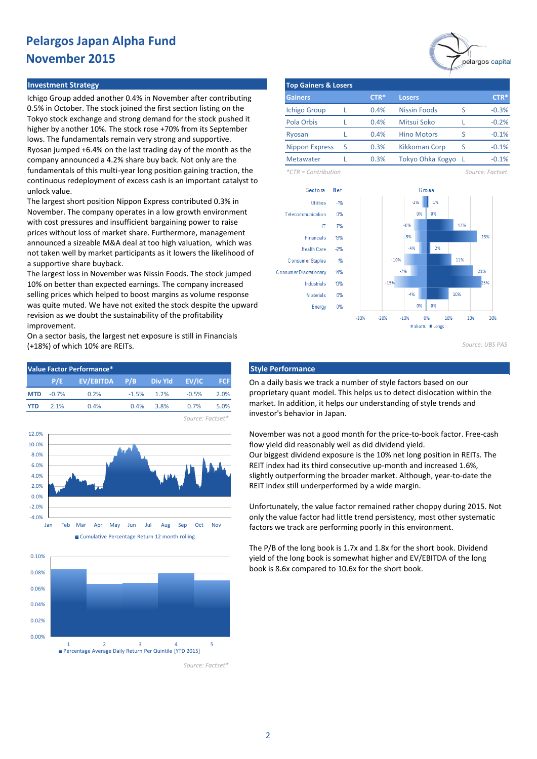#### **Investment Strategy**

Ichigo Group added another 0.4% in November after contributing 0.5% in October. The stock joined the first section listing on the Tokyo stock exchange and strong demand for the stock pushed it higher by another 10%. The stock rose +70% from its September lows. The fundamentals remain very strong and supportive. Ryosan jumped +6.4% on the last trading day of the month as the company announced a 4.2% share buy back. Not only are the fundamentals of this multi-year long position gaining traction, the continuous redeployment of excess cash is an important catalyst to unlock value.

The largest short position Nippon Express contributed 0.3% in November. The company operates in a low growth environment with cost pressures and insufficient bargaining power to raise prices without loss of market share. Furthermore, management announced a sizeable M&A deal at too high valuation, which was not taken well by market participants as it lowers the likelihood of a supportive share buyback.

The largest loss in November was Nissin Foods. The stock jumped 10% on better than expected earnings. The company increased selling prices which helped to boost margins as volume response was quite muted. We have not exited the stock despite the upward revision as we doubt the sustainability of the profitability improvement.

On a sector basis, the largest net exposure is still in Financials (+18%) of which 10% are REITs.





0.0%



*Source: Factset\**



| <b>Top Gainers &amp; Losers</b> |   |        |                     |   |         |  |  |  |  |
|---------------------------------|---|--------|---------------------|---|---------|--|--|--|--|
| <b>Gainers</b>                  |   | $CTR*$ | <b>Losers</b>       |   | $CTR*$  |  |  |  |  |
| <b>Ichigo Group</b>             |   | 0.4%   | <b>Nissin Foods</b> |   | $-0.3%$ |  |  |  |  |
| Pola Orbis                      |   | 0.4%   | Mitsui Soko         |   | $-0.2%$ |  |  |  |  |
| Ryosan                          |   | 0.4%   | <b>Hino Motors</b>  | ς | $-0.1%$ |  |  |  |  |
| <b>Nippon Express</b>           | S | 0.3%   | Kikkoman Corp       | ς | $-0.1%$ |  |  |  |  |
| <b>Metawater</b>                |   | 0.3%   | Tokyo Ohka Kogyo    |   | $-0.1%$ |  |  |  |  |

*\*CTR = Contribution Source: Factset*



*Source: UBS PAS*

On a daily basis we track a number of style factors based on our proprietary quant model. This helps us to detect dislocation within the market. In addition, it helps our understanding of style trends and investor's behavior in Japan.

November was not a good month for the price-to-book factor. Free-cash flow yield did reasonably well as did dividend yield. Our biggest dividend exposure is the 10% net long position in REITs. The REIT index had its third consecutive up-month and increased 1.6%, slightly outperforming the broader market. Although, year-to-date the REIT index still underperformed by a wide margin.

Unfortunately, the value factor remained rather choppy during 2015. Not only the value factor had little trend persistency, most other systematic factors we track are performing poorly in this environment.

The P/B of the long book is 1.7x and 1.8x for the short book. Dividend yield of the long book is somewhat higher and EV/EBITDA of the long book is 8.6x compared to 10.6x for the short book.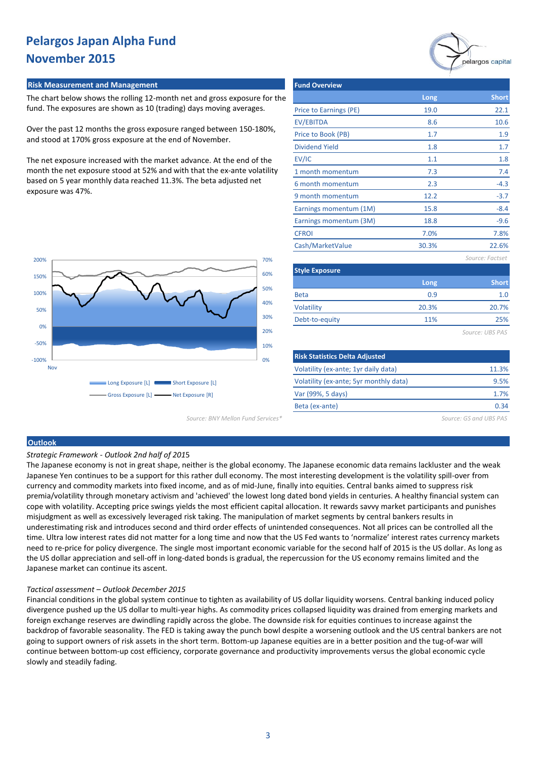#### **Risk Measurement and Management**

The chart below shows the rolling 12-month net and gross exposure for the fund. The exposures are shown as 10 (trading) days moving averages.

Over the past 12 months the gross exposure ranged between 150-180%, and stood at 170% gross exposure at the end of November.

The net exposure increased with the market advance. At the end of the month the net exposure stood at 52% and with that the ex-ante volatility based on 5 year monthly data reached 11.3%. The beta adjusted net exposure was 47%.



| <b>Fund Overview</b>                  |       |                 |
|---------------------------------------|-------|-----------------|
|                                       | Long  | <b>Short</b>    |
| Price to Earnings (PE)                | 19.0  | 22.1            |
| <b>EV/EBITDA</b>                      | 8.6   | 10.6            |
| Price to Book (PB)                    | 1.7   | 1.9             |
| <b>Dividend Yield</b>                 | 1.8   | 1.7             |
| EV/IC                                 | 1.1   | 1.8             |
| 1 month momentum                      | 7.3   | 7.4             |
| 6 month momentum                      | 2.3   | $-4.3$          |
| 9 month momentum                      | 12.2  | $-3.7$          |
| Earnings momentum (1M)                | 15.8  | $-8.4$          |
| Earnings momentum (3M)                | 18.8  | $-9.6$          |
| <b>CFROI</b>                          | 7.0%  | 7.8%            |
| Cash/MarketValue                      | 30.3% | 22.6%           |
|                                       |       | Source: Factset |
| <b>Style Exposure</b>                 |       |                 |
|                                       | Long  | <b>Short</b>    |
| <b>Beta</b>                           | 0.9   | 1.0             |
| <b>Volatility</b>                     | 20.3% | 20.7%           |
| Debt-to-equity                        | 11%   | 25%             |
|                                       |       | Source: UBS PAS |
|                                       |       |                 |
| <b>Risk Statistics Delta Adiusted</b> |       |                 |

| <b>Risk Statistics Delta Adjusted</b>  |       |
|----------------------------------------|-------|
| Volatility (ex-ante; 1yr daily data)   | 11.3% |
| Volatility (ex-ante; 5yr monthly data) | 9.5%  |
| Var (99%, 5 days)                      | 1.7%  |
| Beta (ex-ante)                         | 0.34  |
|                                        |       |

*Source: BNY Mellon Fund Services\* Source: GS and UBS PAS*

#### **Outlook**

*Strategic Framework - Outlook 2nd half of 201*5

The Japanese economy is not in great shape, neither is the global economy. The Japanese economic data remains lackluster and the weak Japanese Yen continues to be a support for this rather dull economy. The most interesting development is the volatility spill-over from currency and commodity markets into fixed income, and as of mid-June, finally into equities. Central banks aimed to suppress risk premia/volatility through monetary activism and 'achieved' the lowest long dated bond yields in centuries. A healthy financial system can cope with volatility. Accepting price swings yields the most efficient capital allocation. It rewards savvy market participants and punishes misjudgment as well as excessively leveraged risk taking. The manipulation of market segments by central bankers results in underestimating risk and introduces second and third order effects of unintended consequences. Not all prices can be controlled all the time. Ultra low interest rates did not matter for a long time and now that the US Fed wants to 'normalize' interest rates currency markets need to re-price for policy divergence. The single most important economic variable for the second half of 2015 is the US dollar. As long as the US dollar appreciation and sell-off in long-dated bonds is gradual, the repercussion for the US economy remains limited and the Japanese market can continue its ascent.

#### *Tactical assessment – Outlook December 2015*

Financial conditions in the global system continue to tighten as availability of US dollar liquidity worsens. Central banking induced policy divergence pushed up the US dollar to multi-year highs. As commodity prices collapsed liquidity was drained from emerging markets and foreign exchange reserves are dwindling rapidly across the globe. The downside risk for equities continues to increase against the backdrop of favorable seasonality. The FED is taking away the punch bowl despite a worsening outlook and the US central bankers are not going to support owners of risk assets in the short term. Bottom-up Japanese equities are in a better position and the tug-of-war will continue between bottom-up cost efficiency, corporate governance and productivity improvements versus the global economic cycle slowly and steadily fading.

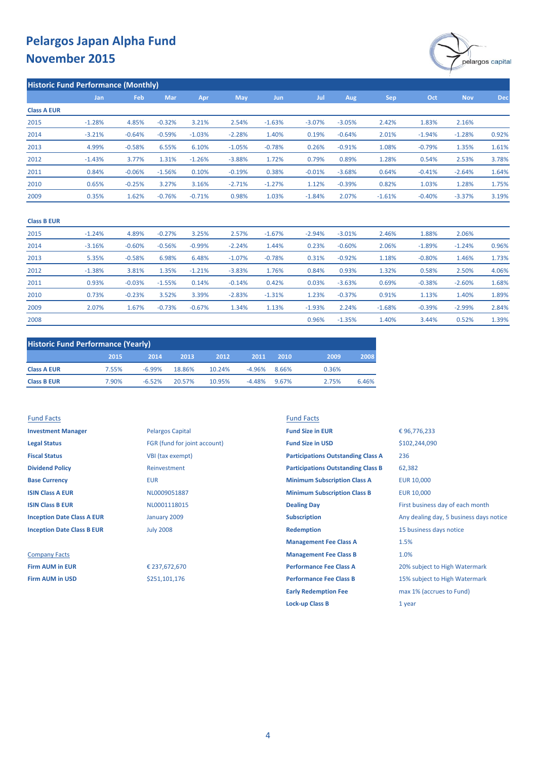

| <b>Historic Fund Performance (Monthly)</b> |          |          |          |          |            |          |          |          |          |          |            |            |
|--------------------------------------------|----------|----------|----------|----------|------------|----------|----------|----------|----------|----------|------------|------------|
|                                            | Jan      | Feb      | Mar      | Apr      | <b>May</b> | Jun      | Jul      | Aug      | Sep      | Oct      | <b>Nov</b> | <b>Dec</b> |
| <b>Class A EUR</b>                         |          |          |          |          |            |          |          |          |          |          |            |            |
| 2015                                       | $-1.28%$ | 4.85%    | $-0.32%$ | 3.21%    | 2.54%      | $-1.63%$ | $-3.07%$ | $-3.05%$ | 2.42%    | 1.83%    | 2.16%      |            |
| 2014                                       | $-3.21%$ | $-0.64%$ | $-0.59%$ | $-1.03%$ | $-2.28%$   | 1.40%    | 0.19%    | $-0.64%$ | 2.01%    | $-1.94%$ | $-1.28%$   | 0.92%      |
| 2013                                       | 4.99%    | $-0.58%$ | 6.55%    | 6.10%    | $-1.05%$   | $-0.78%$ | 0.26%    | $-0.91%$ | 1.08%    | $-0.79%$ | 1.35%      | 1.61%      |
| 2012                                       | $-1.43%$ | 3.77%    | 1.31%    | $-1.26%$ | $-3.88%$   | 1.72%    | 0.79%    | 0.89%    | 1.28%    | 0.54%    | 2.53%      | 3.78%      |
| 2011                                       | 0.84%    | $-0.06%$ | $-1.56%$ | 0.10%    | $-0.19%$   | 0.38%    | $-0.01%$ | $-3.68%$ | 0.64%    | $-0.41%$ | $-2.64%$   | 1.64%      |
| 2010                                       | 0.65%    | $-0.25%$ | 3.27%    | 3.16%    | $-2.71%$   | $-1.27%$ | 1.12%    | $-0.39%$ | 0.82%    | 1.03%    | 1.28%      | 1.75%      |
| 2009                                       | 0.35%    | 1.62%    | $-0.76%$ | $-0.71%$ | 0.98%      | 1.03%    | $-1.84%$ | 2.07%    | $-1.61%$ | $-0.40%$ | $-3.37%$   | 3.19%      |

### **Class B EUR**

| 2015 | $-1.24%$ | 4.89%    | $-0.27%$ | 3.25%    | 2.57%    | $-1.67%$ | $-2.94%$ | $-3.01%$ | 2.46%    | 1.88%    | 2.06%    |       |
|------|----------|----------|----------|----------|----------|----------|----------|----------|----------|----------|----------|-------|
| 2014 | $-3.16%$ | $-0.60%$ | $-0.56%$ | $-0.99%$ | $-2.24%$ | 1.44%    | 0.23%    | $-0.60%$ | 2.06%    | $-1.89%$ | $-1.24%$ | 0.96% |
| 2013 | 5.35%    | $-0.58%$ | 6.98%    | 6.48%    | $-1.07%$ | $-0.78%$ | 0.31%    | $-0.92%$ | 1.18%    | $-0.80%$ | 1.46%    | 1.73% |
| 2012 | $-1.38%$ | 3.81%    | 1.35%    | $-1.21%$ | $-3.83%$ | 1.76%    | 0.84%    | 0.93%    | 1.32%    | 0.58%    | 2.50%    | 4.06% |
| 2011 | 0.93%    | $-0.03%$ | $-1.55%$ | 0.14%    | $-0.14%$ | 0.42%    | 0.03%    | $-3.63%$ | 0.69%    | $-0.38%$ | $-2.60%$ | 1.68% |
| 2010 | 0.73%    | $-0.23%$ | 3.52%    | 3.39%    | $-2.83%$ | $-1.31%$ | 1.23%    | $-0.37%$ | 0.91%    | 1.13%    | 1.40%    | 1.89% |
| 2009 | 2.07%    | 1.67%    | $-0.73%$ | $-0.67%$ | 1.34%    | 1.13%    | $-1.93%$ | 2.24%    | $-1.68%$ | $-0.39%$ | $-2.99%$ | 2.84% |
| 2008 |          |          |          |          |          |          | 0.96%    | $-1.35%$ | 1.40%    | 3.44%    | 0.52%    | 1.39% |

| <b>Historic Fund Performance (Yearly)</b> |       |          |        |        |          |       |       |       |  |
|-------------------------------------------|-------|----------|--------|--------|----------|-------|-------|-------|--|
|                                           | 2015  | 2014     | 2013   | 2012   | 2011     | 2010  | 2009  | 2008  |  |
| <b>Class A EUR</b>                        | 7.55% | $-6.99%$ | 18.86% | 10.24% | $-4.96%$ | 8.66% | 0.36% |       |  |
| <b>Class B EUR</b>                        | 7.90% | $-6.52%$ | 20.57% | 10.95% | $-4.48%$ | 9.67% | 2.75% | 6.46% |  |

| <b>Fund Facts</b>                 |                              | <b>Fund Facts</b>                         |                                         |
|-----------------------------------|------------------------------|-------------------------------------------|-----------------------------------------|
| <b>Investment Manager</b>         | <b>Pelargos Capital</b>      | <b>Fund Size in EUR</b>                   | €96,776,233                             |
| <b>Legal Status</b>               | FGR (fund for joint account) | <b>Fund Size in USD</b>                   | \$102,244,090                           |
| <b>Fiscal Status</b>              | VBI (tax exempt)             | <b>Participations Outstanding Class A</b> | 236                                     |
| <b>Dividend Policy</b>            | Reinvestment                 | <b>Participations Outstanding Class B</b> | 62,382                                  |
| <b>Base Currency</b>              | <b>EUR</b>                   | <b>Minimum Subscription Class A</b>       | <b>EUR 10,000</b>                       |
| <b>ISIN Class A EUR</b>           | NL0009051887                 | <b>Minimum Subscription Class B</b>       | <b>EUR 10,000</b>                       |
| <b>ISIN Class B EUR</b>           | NL0001118015                 | <b>Dealing Day</b>                        | First business day of each month        |
| <b>Inception Date Class A EUR</b> | January 2009                 | <b>Subscription</b>                       | Any dealing day, 5 business days notice |
| <b>Inception Date Class B EUR</b> | <b>July 2008</b>             | <b>Redemption</b>                         | 15 business days notice                 |
|                                   |                              | <b>Management Fee Class A</b>             | 1.5%                                    |
| <b>Company Facts</b>              |                              | <b>Management Fee Class B</b>             | 1.0%                                    |
| <b>Firm AUM in EUR</b>            | € 237,672,670                | <b>Performance Fee Class A</b>            | 20% subject to High Watermark           |
| <b>Firm AUM in USD</b>            | \$251,101,176                | <b>Performance Fee Class B</b>            | 15% subject to High Watermark           |
|                                   |                              | <b>Early Redemption Fee</b>               | max 1% (accrues to Fund)                |
|                                   |                              | <b>Lock-up Class B</b>                    | 1 year                                  |